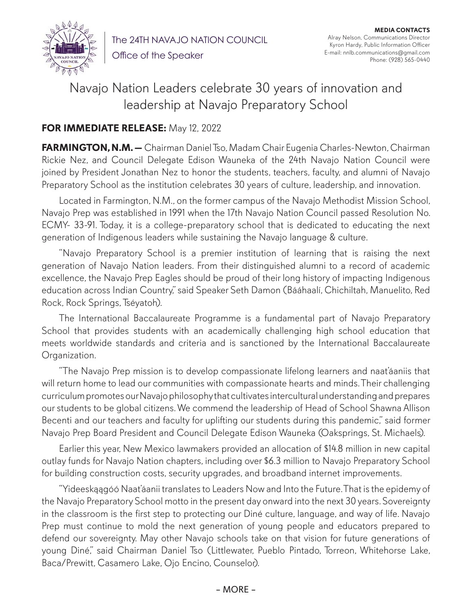

The 24TH NAVAJO NATION COUNCIL Office of the Speaker

**MEDIA CONTACTS** Alray Nelson, Communications Director Kyron Hardy, Public Information Officer E-mail: nnlb.communications@gmail.com Phone: (928) 565-0440

## Navajo Nation Leaders celebrate 30 years of innovation and leadership at Navajo Preparatory School

## **FOR IMMEDIATE RELEASE:** May 12, 2022

**FARMINGTON, N.M. —** Chairman Daniel Tso, Madam Chair Eugenia Charles-Newton, Chairman Rickie Nez, and Council Delegate Edison Wauneka of the 24th Navajo Nation Council were joined by President Jonathan Nez to honor the students, teachers, faculty, and alumni of Navajo Preparatory School as the institution celebrates 30 years of culture, leadership, and innovation.

Located in Farmington, N.M., on the former campus of the Navajo Methodist Mission School, Navajo Prep was established in 1991 when the 17th Navajo Nation Council passed Resolution No. ECMY- 33-91. Today, it is a college-preparatory school that is dedicated to educating the next generation of Indigenous leaders while sustaining the Navajo language & culture.

"Navajo Preparatory School is a premier institution of learning that is raising the next generation of Navajo Nation leaders. From their distinguished alumni to a record of academic excellence, the Navajo Prep Eagles should be proud of their long history of impacting Indigenous education across Indian Country," said Speaker Seth Damon (Bááhaalí, Chichiltah, Manuelito, Red Rock, Rock Springs, Tséyatoh).

The International Baccalaureate Programme is a fundamental part of Navajo Preparatory School that provides students with an academically challenging high school education that meets worldwide standards and criteria and is sanctioned by the International Baccalaureate Organization.

"The Navajo Prep mission is to develop compassionate lifelong learners and naat'áaniis that will return home to lead our communities with compassionate hearts and minds. Their challenging curriculum promotes our Navajo philosophy that cultivates intercultural understanding and prepares our students to be global citizens. We commend the leadership of Head of School Shawna Allison Becenti and our teachers and faculty for uplifting our students during this pandemic," said former Navajo Prep Board President and Council Delegate Edison Wauneka (Oaksprings, St. Michaels).

Earlier this year, New Mexico lawmakers provided an allocation of \$14.8 million in new capital outlay funds for Navajo Nation chapters, including over \$6.3 million to Navajo Preparatory School for building construction costs, security upgrades, and broadband internet improvements.

"Yideeskąągóó Naat'áanii translates to Leaders Now and Into the Future. That is the epidemy of the Navajo Preparatory School motto in the present day onward into the next 30 years. Sovereignty in the classroom is the first step to protecting our Diné culture, language, and way of life. Navajo Prep must continue to mold the next generation of young people and educators prepared to defend our sovereignty. May other Navajo schools take on that vision for future generations of young Diné," said Chairman Daniel Tso (Littlewater, Pueblo Pintado, Torreon, Whitehorse Lake, Baca/Prewitt, Casamero Lake, Ojo Encino, Counselor).